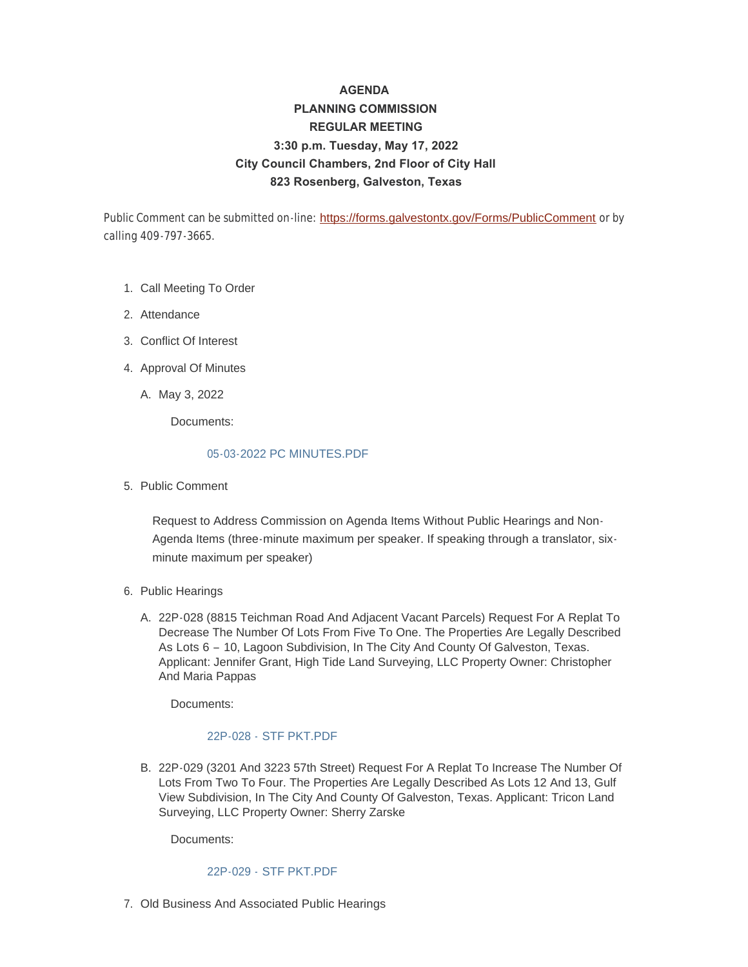# **AGENDA PLANNING COMMISSION REGULAR MEETING 3:30 p.m. Tuesday, May 17, 2022 City Council Chambers, 2nd Floor of City Hall 823 Rosenberg, Galveston, Texas**

Public Comment can be submitted on-line: <https://forms.galvestontx.gov/Forms/PublicComment> or by calling 409-797-3665.

- 1. Call Meeting To Order
- 2. Attendance
- Conflict Of Interest 3.
- 4. Approval Of Minutes
	- A. May 3, 2022

Documents:

#### [05-03-2022 PC MINUTES.PDF](https://www.galvestontx.gov/AgendaCenter/ViewFile/Item/14279?fileID=32893)

5. Public Comment

Request to Address Commission on Agenda Items Without Public Hearings and Non-Agenda Items (three-minute maximum per speaker. If speaking through a translator, sixminute maximum per speaker)

- 6. Public Hearings
	- A. 22P-028 (8815 Teichman Road And Adjacent Vacant Parcels) Request For A Replat To Decrease The Number Of Lots From Five To One. The Properties Are Legally Described As Lots 6 – 10, Lagoon Subdivision, In The City And County Of Galveston, Texas. Applicant: Jennifer Grant, High Tide Land Surveying, LLC Property Owner: Christopher And Maria Pappas

Documents:

#### 22P-028 - [STF PKT.PDF](https://www.galvestontx.gov/AgendaCenter/ViewFile/Item/14270?fileID=32885)

B. 22P-029 (3201 And 3223 57th Street) Request For A Replat To Increase The Number Of Lots From Two To Four. The Properties Are Legally Described As Lots 12 And 13, Gulf View Subdivision, In The City And County Of Galveston, Texas. Applicant: Tricon Land Surveying, LLC Property Owner: Sherry Zarske

Documents:

#### 22P-029 - [STF PKT.PDF](https://www.galvestontx.gov/AgendaCenter/ViewFile/Item/14271?fileID=32886)

7. Old Business And Associated Public Hearings